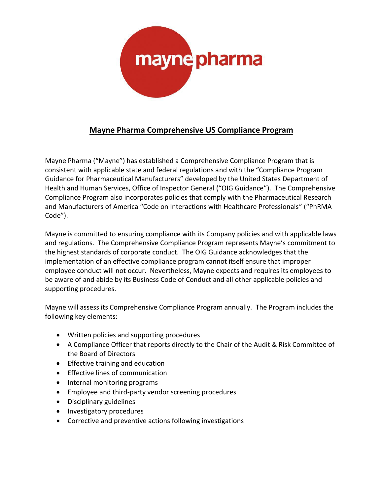

# **Mayne Pharma Comprehensive US Compliance Program**

Mayne Pharma ("Mayne") has established a Comprehensive Compliance Program that is consistent with applicable state and federal regulations and with the "Compliance Program Guidance for Pharmaceutical Manufacturers" developed by the United States Department of Health and Human Services, Office of Inspector General ("OIG Guidance"). The Comprehensive Compliance Program also incorporates policies that comply with the Pharmaceutical Research and Manufacturers of America "Code on Interactions with Healthcare Professionals" ("PhRMA Code").

Mayne is committed to ensuring compliance with its Company policies and with applicable laws and regulations. The Comprehensive Compliance Program represents Mayne's commitment to the highest standards of corporate conduct. The OIG Guidance acknowledges that the implementation of an effective compliance program cannot itself ensure that improper employee conduct will not occur. Nevertheless, Mayne expects and requires its employees to be aware of and abide by its Business Code of Conduct and all other applicable policies and supporting procedures.

Mayne will assess its Comprehensive Compliance Program annually. The Program includes the following key elements:

- Written policies and supporting procedures
- A Compliance Officer that reports directly to the Chair of the Audit & Risk Committee of the Board of Directors
- Effective training and education
- Effective lines of communication
- Internal monitoring programs
- Employee and third-party vendor screening procedures
- Disciplinary guidelines
- Investigatory procedures
- Corrective and preventive actions following investigations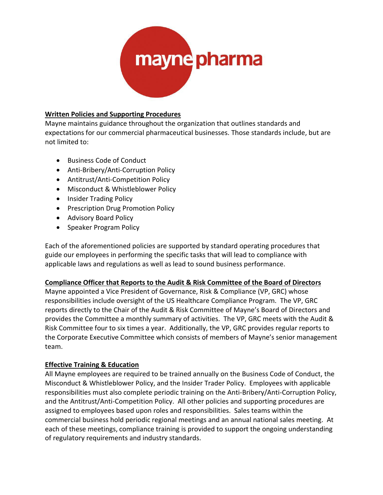

#### **Written Policies and Supporting Procedures**

Mayne maintains guidance throughout the organization that outlines standards and expectations for our commercial pharmaceutical businesses. Those standards include, but are not limited to:

- Business Code of Conduct
- Anti-Bribery/Anti-Corruption Policy
- Antitrust/Anti-Competition Policy
- Misconduct & Whistleblower Policy
- Insider Trading Policy
- Prescription Drug Promotion Policy
- Advisory Board Policy
- Speaker Program Policy

Each of the aforementioned policies are supported by standard operating procedures that guide our employees in performing the specific tasks that will lead to compliance with applicable laws and regulations as well as lead to sound business performance.

#### **Compliance Officer that Reports to the Audit & Risk Committee of the Board of Directors**

Mayne appointed a Vice President of Governance, Risk & Compliance (VP, GRC) whose responsibilities include oversight of the US Healthcare Compliance Program. The VP, GRC reports directly to the Chair of the Audit & Risk Committee of Mayne's Board of Directors and provides the Committee a monthly summary of activities. The VP, GRC meets with the Audit & Risk Committee four to six times a year. Additionally, the VP, GRC provides regular reports to the Corporate Executive Committee which consists of members of Mayne's senior management team.

# **Effective Training & Education**

All Mayne employees are required to be trained annually on the Business Code of Conduct, the Misconduct & Whistleblower Policy, and the Insider Trader Policy. Employees with applicable responsibilities must also complete periodic training on the Anti-Bribery/Anti-Corruption Policy, and the Antitrust/Anti-Competition Policy. All other policies and supporting procedures are assigned to employees based upon roles and responsibilities. Sales teams within the commercial business hold periodic regional meetings and an annual national sales meeting. At each of these meetings, compliance training is provided to support the ongoing understanding of regulatory requirements and industry standards.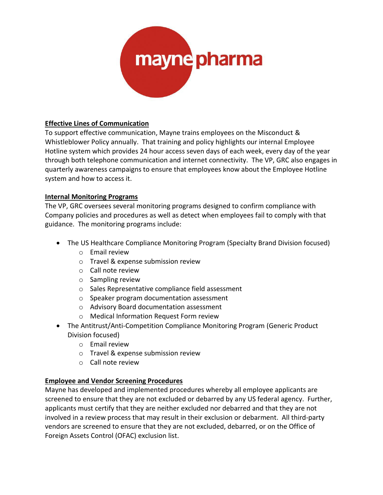

# **Effective Lines of Communication**

To support effective communication, Mayne trains employees on the Misconduct & Whistleblower Policy annually. That training and policy highlights our internal Employee Hotline system which provides 24 hour access seven days of each week, every day of the year through both telephone communication and internet connectivity. The VP, GRC also engages in quarterly awareness campaigns to ensure that employees know about the Employee Hotline system and how to access it.

# **Internal Monitoring Programs**

The VP, GRC oversees several monitoring programs designed to confirm compliance with Company policies and procedures as well as detect when employees fail to comply with that guidance. The monitoring programs include:

- The US Healthcare Compliance Monitoring Program (Specialty Brand Division focused)
	- o Email review
	- o Travel & expense submission review
	- o Call note review
	- o Sampling review
	- o Sales Representative compliance field assessment
	- o Speaker program documentation assessment
	- o Advisory Board documentation assessment
	- o Medical Information Request Form review
- The Antitrust/Anti-Competition Compliance Monitoring Program (Generic Product Division focused)
	- o Email review
	- o Travel & expense submission review
	- o Call note review

# **Employee and Vendor Screening Procedures**

Mayne has developed and implemented procedures whereby all employee applicants are screened to ensure that they are not excluded or debarred by any US federal agency. Further, applicants must certify that they are neither excluded nor debarred and that they are not involved in a review process that may result in their exclusion or debarment. All third-party vendors are screened to ensure that they are not excluded, debarred, or on the Office of Foreign Assets Control (OFAC) exclusion list.